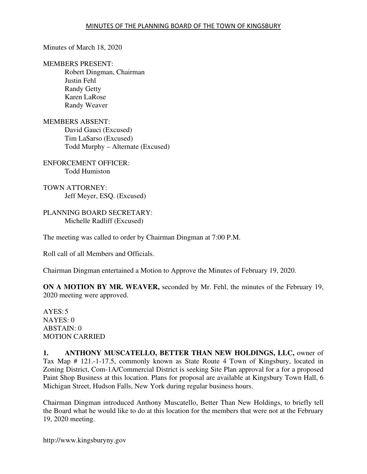## Minutes of March 18, 2020

MEMBERS PRESENT:

Robert Dingman, Chairman Justin Fehl Randy Getty Karen LaRose Randy Weaver

MEMBERS ABSENT: David Gauci (Excused) Tim LaSarso (Excused) Todd Murphy – Alternate (Excused)

ENFORCEMENT OFFICER: Todd Humiston

TOWN ATTORNEY: Jeff Meyer, ESQ. (Excused)

PLANNING BOARD SECRETARY: Michelle Radliff (Excused)

The meeting was called to order by Chairman Dingman at 7:00 P.M.

Roll call of all Members and Officials.

Chairman Dingman entertained a Motion to Approve the Minutes of February 19, 2020.

**ON A MOTION BY MR. WEAVER,** seconded by Mr. Fehl, the minutes of the February 19, 2020 meeting were approved.

AYES: 5 NAYES: 0 ABSTAIN: 0 MOTION CARRIED

**1. ANTHONY MUSCATELLO, BETTER THAN NEW HOLDINGS, LLC,** owner of Tax Map # 121.-1-17.5, commonly known as State Route 4 Town of Kingsbury, located in Zoning District, Com-1A/Commercial District is seeking Site Plan approval for a for a proposed Paint Shop Business at this location. Plans for proposal are available at Kingsbury Town Hall, 6 Michigan Street, Hudson Falls, New York during regular business hours.

Chairman Dingman introduced Anthony Muscatello, Better Than New Holdings, to briefly tell the Board what he would like to do at this location for the members that were not at the February 19, 2020 meeting.

http://www.kingsburyny.gov